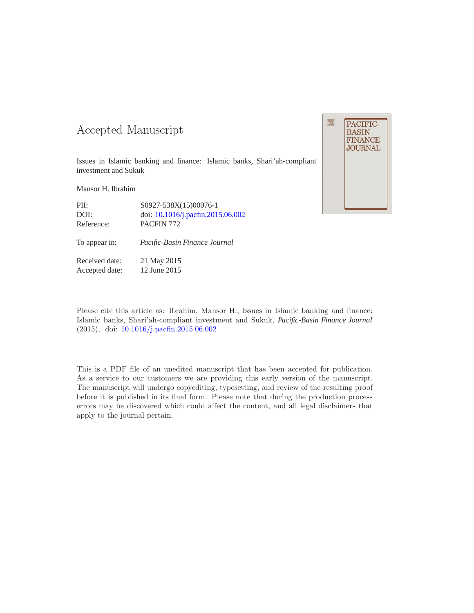#### -- -

Issues in Islamic banking and finance: Islamic banks, Shari'ah-compliant investment and Sukuk

#### Mansor H. Ibrahim

| PII:       | S0927-538X(15)00076-1             |
|------------|-----------------------------------|
| DOI:       | doi: 10.1016/j.pacfin.2015.06.002 |
| Reference: | PACFIN 772                        |



Received date: 21 May 2015

To appear in: *Pacific-Basin Finance Journal*

Accepted date: 12 June 2015

Please cite this article as: Ibrahim, Mansor H., Issues in Islamic banking and finance: Islamic banks, Shari'ah-compliant investment and Sukuk, *Pacific-Basin Finance Journal* (2015), doi: [10.1016/j.pacfin.2015.06.002](http://dx.doi.org/10.1016/j.pacfin.2015.06.002)

This is a PDF file of an unedited manuscript that has been accepted for publication. As a service to our customers we are providing this early version of the manuscript. The manuscript will undergo copyediting, typesetting, and review of the resulting proof before it is published in its final form. Please note that during the production process errors may be discovered which could affect the content, and all legal disclaimers that apply to the journal pertain.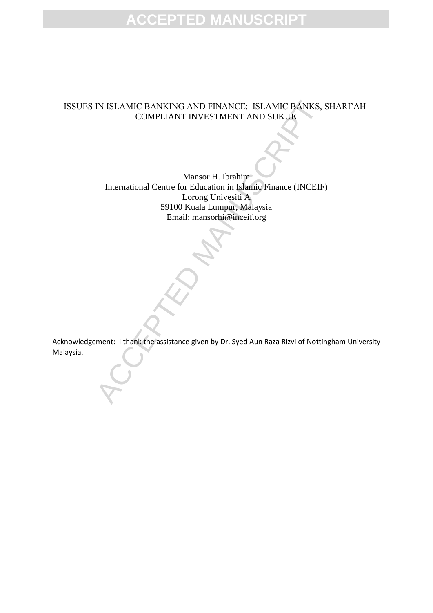#### ISSUES IN ISLAMIC BANKING AND FINANCE: ISLAMIC BANKS, SHARI"AH-COMPLIANT INVESTMENT AND SUKUK

IN ISLAMIC BANKING AND FINANCE: ISLAMIC BANKS,<br>
COMPLIANT INVESTMENT AND SUKUK<br>
Lorong Univestit A<br>
Mansor H. Ibrahim<br>
Mansor H. Ibrahim<br>
Mansor H. Ibrahim<br>
Mansor H. Ibrahim<br>
Sulfold Lumpur, Malaysia<br>
Email: mansorhi@inee Mansor H. Ibrahim International Centre for Education in Islamic Finance (INCEIF) Lorong Univesiti A 59100 Kuala Lumpur, Malaysia Email: mansorhi@inceif.org

Acknowledgement: I thank the assistance given by Dr. Syed Aun Raza Rizvi of Nottingham University Malaysia.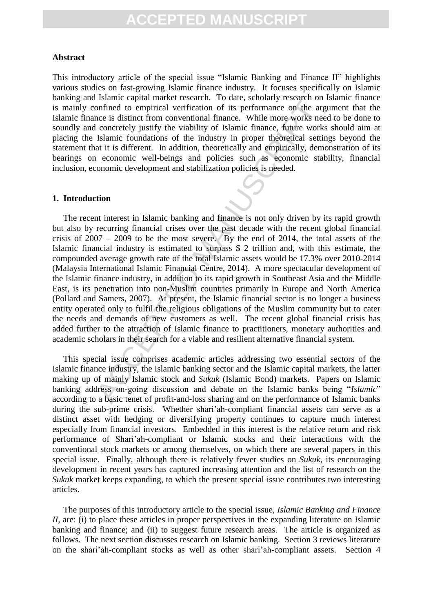#### **Abstract**

This introductory article of the special issue "Islamic Banking and Finance II" highlights various studies on fast-growing Islamic finance industry. It focuses specifically on Islamic banking and Islamic capital market research. To date, scholarly research on Islamic finance is mainly confined to empirical verification of its performance on the argument that the Islamic finance is distinct from conventional finance. While more works need to be done to soundly and concretely justify the viability of Islamic finance, future works should aim at placing the Islamic foundations of the industry in proper theoretical settings beyond the statement that it is different. In addition, theoretically and empirically, demonstration of its bearings on economic well-beings and policies such as economic stability, financial inclusion, economic development and stabilization policies is needed.

#### **1. Introduction**

Example experiment vectors of the sumple promation of its performance on the argue is distinct from conventional finance. While more works nee concertely justify the viability of Islamic finance, future works net concrete The recent interest in Islamic banking and finance is not only driven by its rapid growth but also by recurring financial crises over the past decade with the recent global financial crisis of  $2007 - 2009$  to be the most severe. By the end of  $2014$ , the total assets of the Islamic financial industry is estimated to surpass \$ 2 trillion and, with this estimate, the compounded average growth rate of the total Islamic assets would be 17.3% over 2010-2014 (Malaysia International Islamic Financial Centre, 2014). A more spectacular development of the Islamic finance industry, in addition to its rapid growth in Southeast Asia and the Middle East, is its penetration into non-Muslim countries primarily in Europe and North America (Pollard and Samers, 2007). At present, the Islamic financial sector is no longer a business entity operated only to fulfil the religious obligations of the Muslim community but to cater the needs and demands of new customers as well. The recent global financial crisis has added further to the attraction of Islamic finance to practitioners, monetary authorities and academic scholars in their search for a viable and resilient alternative financial system.

 This special issue comprises academic articles addressing two essential sectors of the Islamic finance industry, the Islamic banking sector and the Islamic capital markets, the latter making up of mainly Islamic stock and *Sukuk* (Islamic Bond) markets. Papers on Islamic banking address on-going discussion and debate on the Islamic banks being "*Islamic*" according to a basic tenet of profit-and-loss sharing and on the performance of Islamic banks during the sub-prime crisis. Whether shari"ah-compliant financial assets can serve as a distinct asset with hedging or diversifying property continues to capture much interest especially from financial investors. Embedded in this interest is the relative return and risk performance of Shari"ah-compliant or Islamic stocks and their interactions with the conventional stock markets or among themselves, on which there are several papers in this special issue. Finally, although there is relatively fewer studies on *Sukuk*, its encouraging development in recent years has captured increasing attention and the list of research on the *Sukuk* market keeps expanding, to which the present special issue contributes two interesting articles.

 The purposes of this introductory article to the special issue, *Islamic Banking and Finance II*, are: (i) to place these articles in proper perspectives in the expanding literature on Islamic banking and finance; and (ii) to suggest future research areas. The article is organized as follows. The next section discusses research on Islamic banking. Section 3 reviews literature on the shari"ah-compliant stocks as well as other shari"ah-compliant assets. Section 4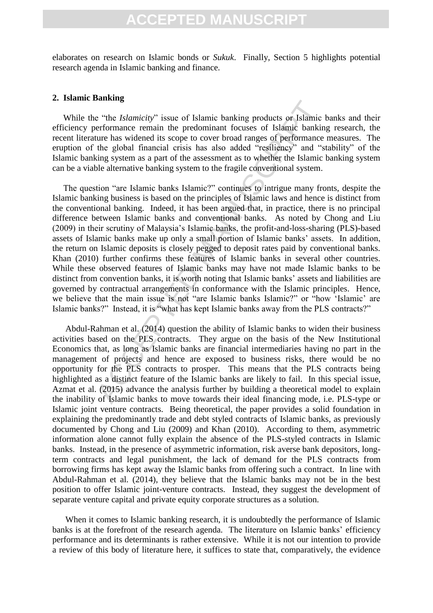elaborates on research on Islamic bonds or *Sukuk*. Finally, Section 5 highlights potential research agenda in Islamic banking and finance.

#### **2. Islamic Banking**

 While the "the *Islamicity*" issue of Islamic banking products or Islamic banks and their efficiency performance remain the predominant focuses of Islamic banking research, the recent literature has widened its scope to cover broad ranges of performance measures. The eruption of the global financial crisis has also added "resiliency" and "stability" of the Islamic banking system as a part of the assessment as to whether the Islamic banking system can be a viable alternative banking system to the fragile conventional system.

e "the Islamic tomain the predominant focuses of Islamic banking products or Islamic bankiner<br>entromance remain the predominant focuses of Islamic bankinum has widened its scope to cover broad ranges of performance<br>the glo The question "are Islamic banks Islamic?" continues to intrigue many fronts, despite the Islamic banking business is based on the principles of Islamic laws and hence is distinct from the conventional banking. Indeed, it has been argued that, in practice, there is no principal difference between Islamic banks and conventional banks. As noted by Chong and Liu (2009) in their scrutiny of Malaysia"s Islamic banks, the profit-and-loss-sharing (PLS)-based assets of Islamic banks make up only a small portion of Islamic banks" assets. In addition, the return on Islamic deposits is closely pegged to deposit rates paid by conventional banks. Khan (2010) further confirms these features of Islamic banks in several other countries. While these observed features of Islamic banks may have not made Islamic banks to be distinct from convention banks, it is worth noting that Islamic banks' assets and liabilities are governed by contractual arrangements in conformance with the Islamic principles. Hence, we believe that the main issue is not "are Islamic banks Islamic?" or "how "Islamic" are Islamic banks?" Instead, it is "what has kept Islamic banks away from the PLS contracts?"

 Abdul-Rahman et al. (2014) question the ability of Islamic banks to widen their business activities based on the PLS contracts. They argue on the basis of the New Institutional Economics that, as long as Islamic banks are financial intermediaries having no part in the management of projects and hence are exposed to business risks, there would be no opportunity for the PLS contracts to prosper. This means that the PLS contracts being highlighted as a distinct feature of the Islamic banks are likely to fail. In this special issue, Azmat et al. (2015) advance the analysis further by building a theoretical model to explain the inability of Islamic banks to move towards their ideal financing mode, i.e. PLS-type or Islamic joint venture contracts. Being theoretical, the paper provides a solid foundation in explaining the predominantly trade and debt styled contracts of Islamic banks, as previously documented by Chong and Liu (2009) and Khan (2010). According to them, asymmetric information alone cannot fully explain the absence of the PLS-styled contracts in Islamic banks. Instead, in the presence of asymmetric information, risk averse bank depositors, longterm contracts and legal punishment, the lack of demand for the PLS contracts from borrowing firms has kept away the Islamic banks from offering such a contract. In line with Abdul-Rahman et al. (2014), they believe that the Islamic banks may not be in the best position to offer Islamic joint-venture contracts. Instead, they suggest the development of separate venture capital and private equity corporate structures as a solution.

 When it comes to Islamic banking research, it is undoubtedly the performance of Islamic banks is at the forefront of the research agenda. The literature on Islamic banks' efficiency performance and its determinants is rather extensive. While it is not our intention to provide a review of this body of literature here, it suffices to state that, comparatively, the evidence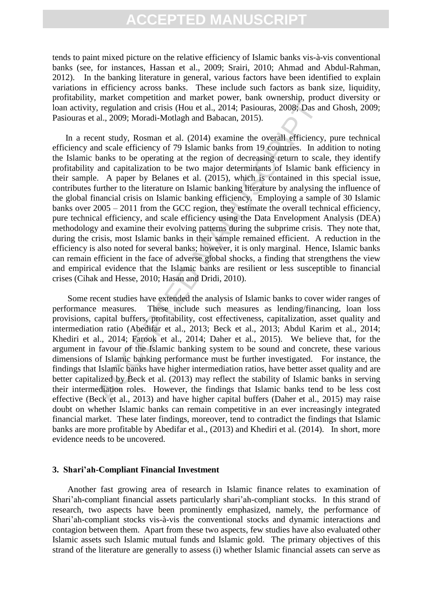tends to paint mixed picture on the relative efficiency of Islamic banks vis-à-vis conventional banks (see, for instances, Hassan et al., 2009; Srairi, 2010; Ahmad and Abdul-Rahman, 2012). In the banking literature in general, various factors have been identified to explain variations in efficiency across banks. These include such factors as bank size, liquidity, profitability, market competition and market power, bank ownership, product diversity or loan activity, regulation and crisis (Hou et al., 2014; Pasiouras, 2008; Das and Ghosh, 2009; Pasiouras et al., 2009; Moradi-Motlagh and Babacan, 2015).

and computerion and mater power, it is only and only and the sect of the sect of the sect of the sect of the sect of the sect of the section and crisis (Hou et al. 2014; Pasiouras, 2008; Das and a, 2009; Moradi-Motlagh an In a recent study, Rosman et al. (2014) examine the overall efficiency, pure technical efficiency and scale efficiency of 79 Islamic banks from 19 countries. In addition to noting the Islamic banks to be operating at the region of decreasing return to scale, they identify profitability and capitalization to be two major determinants of Islamic bank efficiency in their sample. A paper by Belanes et al. (2015), which is contained in this special issue, contributes further to the literature on Islamic banking literature by analysing the influence of the global financial crisis on Islamic banking efficiency. Employing a sample of 30 Islamic banks over  $2005 - 2011$  from the GCC region, they estimate the overall technical efficiency, pure technical efficiency, and scale efficiency using the Data Envelopment Analysis (DEA) methodology and examine their evolving patterns during the subprime crisis. They note that, during the crisis, most Islamic banks in their sample remained efficient. A reduction in the efficiency is also noted for several banks; however, it is only marginal. Hence, Islamic banks can remain efficient in the face of adverse global shocks, a finding that strengthens the view and empirical evidence that the Islamic banks are resilient or less susceptible to financial crises (Cihak and Hesse, 2010; Hasan and Dridi, 2010).

 Some recent studies have extended the analysis of Islamic banks to cover wider ranges of performance measures. These include such measures as lending/financing, loan loss provisions, capital buffers, profitability, cost effectiveness, capitalization, asset quality and intermediation ratio (Abedifar et al., 2013; Beck et al., 2013; Abdul Karim et al., 2014; Khediri et al., 2014; Farook et al., 2014; Daher et al., 2015). We believe that, for the argument in favour of the Islamic banking system to be sound and concrete, these various dimensions of Islamic banking performance must be further investigated. For instance, the findings that Islamic banks have higher intermediation ratios, have better asset quality and are better capitalized by Beck et al. (2013) may reflect the stability of Islamic banks in serving their intermediation roles. However, the findings that Islamic banks tend to be less cost effective (Beck et al., 2013) and have higher capital buffers (Daher et al., 2015) may raise doubt on whether Islamic banks can remain competitive in an ever increasingly integrated financial market. These later findings, moreover, tend to contradict the findings that Islamic banks are more profitable by Abedifar et al., (2013) and Khediri et al. (2014). In short, more evidence needs to be uncovered.

#### **3. Shari'ah-Compliant Financial Investment**

 Another fast growing area of research in Islamic finance relates to examination of Shari"ah-compliant financial assets particularly shari"ah-compliant stocks. In this strand of research, two aspects have been prominently emphasized, namely, the performance of Shari"ah-compliant stocks vis-à-vis the conventional stocks and dynamic interactions and contagion between them. Apart from these two aspects, few studies have also evaluated other Islamic assets such Islamic mutual funds and Islamic gold. The primary objectives of this strand of the literature are generally to assess (i) whether Islamic financial assets can serve as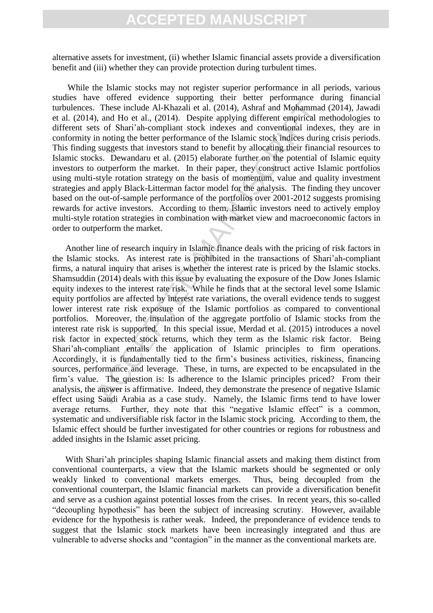alternative assets for investment, (ii) whether Islamic financial assets provide a diversification benefit and (iii) whether they can provide protection during turbulent times.

 While the Islamic stocks may not register superior performance in all periods, various studies have offered evidence supporting their better performance during financial turbulences. These include Al-Khazali et al. (2014), Ashraf and Mohammad (2014), Jawadi et al. (2014), and Ho et al., (2014). Despite applying different empirical methodologies to different sets of Shari"ah-compliant stock indexes and conventional indexes, they are in conformity in noting the better performance of the Islamic stock indices during crisis periods. This finding suggests that investors stand to benefit by allocating their financial resources to Islamic stocks. Dewandaru et al. (2015) elaborate further on the potential of Islamic equity investors to outperform the market. In their paper, they construct active Islamic portfolios using multi-style rotation strategy on the basis of momentum, value and quality investment strategies and apply Black-Litterman factor model for the analysis. The finding they uncover based on the out-of-sample performance of the portfolios over 2001-2012 suggests promising rewards for active investors. According to them, Islamic investors need to actively employ multi-style rotation strategies in combination with market view and macroeconomic factors in order to outperform the market.

These include Al-Khazali et al. (2014). Ashraf and Mohammad entotal<br>These include Al-Khazali et al. (2014). Ashraf and Mohammad inclust of Sthari'ah-compliant stock indexes and conventional index<br>is of Shari'ah-complinat Another line of research inquiry in Islamic finance deals with the pricing of risk factors in the Islamic stocks. As interest rate is prohibited in the transactions of Shari"ah-compliant firms, a natural inquiry that arises is whether the interest rate is priced by the Islamic stocks. Shamsuddin (2014) deals with this issue by evaluating the exposure of the Dow Jones Islamic equity indexes to the interest rate risk. While he finds that at the sectoral level some Islamic equity portfolios are affected by interest rate variations, the overall evidence tends to suggest lower interest rate risk exposure of the Islamic portfolios as compared to conventional portfolios. Moreover, the insulation of the aggregate portfolio of Islamic stocks from the interest rate risk is supported. In this special issue, Merdad et al. (2015) introduces a novel risk factor in expected stock returns, which they term as the Islamic risk factor. Being Shari"ah-compliant entails the application of Islamic principles to firm operations. Accordingly, it is fundamentally tied to the firm"s business activities, riskiness, financing sources, performance and leverage. These, in turns, are expected to be encapsulated in the firm"s value. The question is: Is adherence to the Islamic principles priced? From their analysis, the answer is affirmative. Indeed, they demonstrate the presence of negative Islamic effect using Saudi Arabia as a case study. Namely, the Islamic firms tend to have lower average returns. Further, they note that this "negative Islamic effect" is a common, systematic and undiversifiable risk factor in the Islamic stock pricing. According to them, the Islamic effect should be further investigated for other countries or regions for robustness and added insights in the Islamic asset pricing.

With Shari'ah principles shaping Islamic financial assets and making them distinct from conventional counterparts, a view that the Islamic markets should be segmented or only weakly linked to conventional markets emerges. Thus, being decoupled from the conventional counterpart, the Islamic financial markets can provide a diversification benefit and serve as a cushion against potential losses from the crises. In recent years, this so-called "decoupling hypothesis" has been the subject of increasing scrutiny. However, available evidence for the hypothesis is rather weak. Indeed, the preponderance of evidence tends to suggest that the Islamic stock markets have been increasingly integrated and thus are vulnerable to adverse shocks and "contagion" in the manner as the conventional markets are.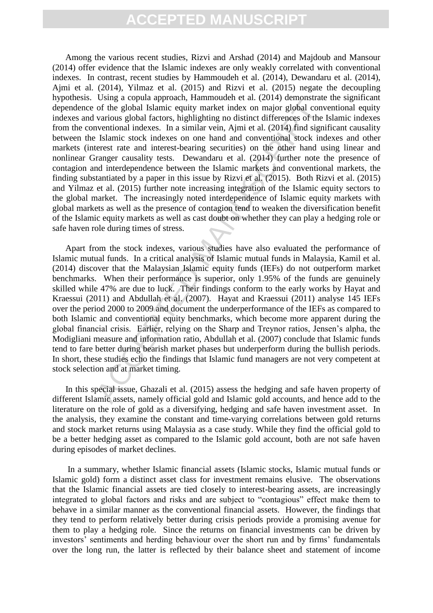ond, wo could represent, rannimouscure van 'Lory', or anomonated confline global convarious global factors, highlighting no distinct differences of the SIS annil of the sumpler end, Almin e tal. (2014) fund sign warious g Among the various recent studies, Rizvi and Arshad (2014) and Majdoub and Mansour (2014) offer evidence that the Islamic indexes are only weakly correlated with conventional indexes. In contrast, recent studies by Hammoudeh et al. (2014), Dewandaru et al. (2014), Ajmi et al. (2014), Yilmaz et al. (2015) and Rizvi et al. (2015) negate the decoupling hypothesis. Using a copula approach, Hammoudeh et al. (2014) demonstrate the significant dependence of the global Islamic equity market index on major global conventional equity indexes and various global factors, highlighting no distinct differences of the Islamic indexes from the conventional indexes. In a similar vein, Ajmi et al. (2014) find significant causality between the Islamic stock indexes on one hand and conventional stock indexes and other markets (interest rate and interest-bearing securities) on the other hand using linear and nonlinear Granger causality tests. Dewandaru et al. (2014) further note the presence of contagion and interdependence between the Islamic markets and conventional markets, the finding substantiated by a paper in this issue by Rizvi et al. (2015). Both Rizvi et al. (2015) and Yilmaz et al. (2015) further note increasing integration of the Islamic equity sectors to the global market. The increasingly noted interdependence of Islamic equity markets with global markets as well as the presence of contagion tend to weaken the diversification benefit of the Islamic equity markets as well as cast doubt on whether they can play a hedging role or safe haven role during times of stress.

 Apart from the stock indexes, various studies have also evaluated the performance of Islamic mutual funds. In a critical analysis of Islamic mutual funds in Malaysia, Kamil et al. (2014) discover that the Malaysian Islamic equity funds (IEFs) do not outperform market benchmarks. When their performance is superior, only 1.95% of the funds are genuinely skilled while 47% are due to luck. Their findings conform to the early works by Hayat and Kraessui (2011) and Abdullah et al. (2007). Hayat and Kraessui (2011) analyse 145 IEFs over the period 2000 to 2009 and document the underperformance of the IEFs as compared to both Islamic and conventional equity benchmarks, which become more apparent during the global financial crisis. Earlier, relying on the Sharp and Treynor ratios, Jensen"s alpha, the Modigliani measure and information ratio, Abdullah et al. (2007) conclude that Islamic funds tend to fare better during bearish market phases but underperform during the bullish periods. In short, these studies echo the findings that Islamic fund managers are not very competent at stock selection and at market timing.

 In this special issue, Ghazali et al. (2015) assess the hedging and safe haven property of different Islamic assets, namely official gold and Islamic gold accounts, and hence add to the literature on the role of gold as a diversifying, hedging and safe haven investment asset. In the analysis, they examine the constant and time-varying correlations between gold returns and stock market returns using Malaysia as a case study. While they find the official gold to be a better hedging asset as compared to the Islamic gold account, both are not safe haven during episodes of market declines.

 In a summary, whether Islamic financial assets (Islamic stocks, Islamic mutual funds or Islamic gold) form a distinct asset class for investment remains elusive. The observations that the Islamic financial assets are tied closely to interest-bearing assets, are increasingly integrated to global factors and risks and are subject to "contagious" effect make them to behave in a similar manner as the conventional financial assets. However, the findings that they tend to perform relatively better during crisis periods provide a promising avenue for them to play a hedging role. Since the returns on financial investments can be driven by investors" sentiments and herding behaviour over the short run and by firms" fundamentals over the long run, the latter is reflected by their balance sheet and statement of income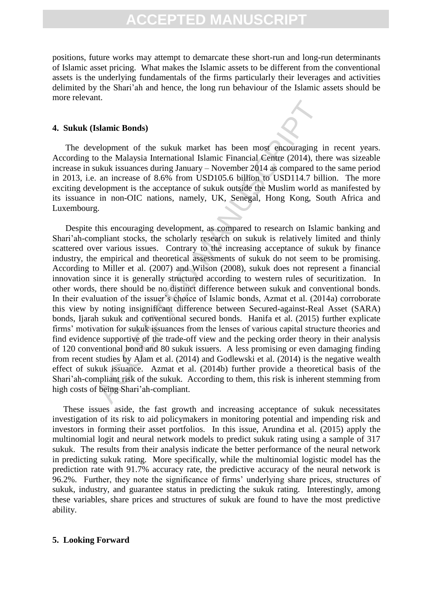positions, future works may attempt to demarcate these short-run and long-run determinants of Islamic asset pricing. What makes the Islamic assets to be different from the conventional assets is the underlying fundamentals of the firms particularly their leverages and activities delimited by the Shari"ah and hence, the long run behaviour of the Islamic assets should be more relevant.

#### **4. Sukuk (Islamic Bonds)**

 The development of the sukuk market has been most encouraging in recent years. According to the Malaysia International Islamic Financial Centre (2014), there was sizeable increase in sukuk issuances during January – November 2014 as compared to the same period in 2013, i.e. an increase of 8.6% from USD105.6 billion to USD114.7 billion. The more exciting development is the acceptance of sukuk outside the Muslim world as manifested by its issuance in non-OIC nations, namely, UK, Senegal, Hong Kong, South Africa and Luxembourg.

Islamic Bonds)<br>
velopment of the sukuk market has been most encouraging in<br>
velopment of the sukuk market has been most encouraging in<br>
velopment of the Malaysia International Islamic Financial Centre (2014), the<br>
implican Despite this encouraging development, as compared to research on Islamic banking and Shari"ah-compliant stocks, the scholarly research on sukuk is relatively limited and thinly scattered over various issues. Contrary to the increasing acceptance of sukuk by finance industry, the empirical and theoretical assessments of sukuk do not seem to be promising. According to Miller et al. (2007) and Wilson (2008), sukuk does not represent a financial innovation since it is generally structured according to western rules of securitization. In other words, there should be no distinct difference between sukuk and conventional bonds. In their evaluation of the issuer's choice of Islamic bonds, Azmat et al. (2014a) corroborate this view by noting insignificant difference between Secured-against-Real Asset (SARA) bonds, Ijarah sukuk and conventional secured bonds. Hanifa et al. (2015) further explicate firms" motivation for sukuk issuances from the lenses of various capital structure theories and find evidence supportive of the trade-off view and the pecking order theory in their analysis of 120 conventional bond and 80 sukuk issuers. A less promising or even damaging finding from recent studies by Alam et al. (2014) and Godlewski et al. (2014) is the negative wealth effect of sukuk issuance. Azmat et al. (2014b) further provide a theoretical basis of the Shari"ah-compliant risk of the sukuk. According to them, this risk is inherent stemming from high costs of being Shari"ah-compliant.

 These issues aside, the fast growth and increasing acceptance of sukuk necessitates investigation of its risk to aid policymakers in monitoring potential and impending risk and investors in forming their asset portfolios. In this issue, Arundina et al. (2015) apply the multinomial logit and neural network models to predict sukuk rating using a sample of 317 sukuk. The results from their analysis indicate the better performance of the neural network in predicting sukuk rating. More specifically, while the multinomial logistic model has the prediction rate with 91.7% accuracy rate, the predictive accuracy of the neural network is 96.2%. Further, they note the significance of firms" underlying share prices, structures of sukuk, industry, and guarantee status in predicting the sukuk rating. Interestingly, among these variables, share prices and structures of sukuk are found to have the most predictive ability.

#### **5. Looking Forward**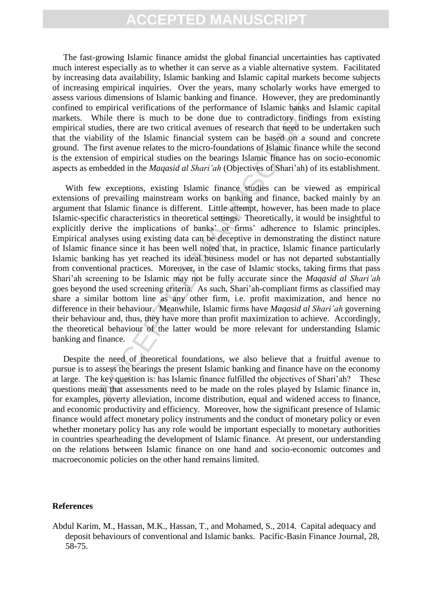The fast-growing Islamic finance amidst the global financial uncertainties has captivated much interest especially as to whether it can serve as a viable alternative system. Facilitated by increasing data availability, Islamic banking and Islamic capital markets become subjects of increasing empirical inquiries. Over the years, many scholarly works have emerged to assess various dimensions of Islamic banking and finance. However, they are predominantly confined to empirical verifications of the performance of Islamic banks and Islamic capital markets. While there is much to be done due to contradictory findings from existing empirical studies, there are two critical avenues of research that need to be undertaken such that the viability of the Islamic financial system can be based on a sound and concrete ground. The first avenue relates to the micro-foundations of Islamic finance while the second is the extension of empirical studies on the bearings Islamic finance has on socio-economic aspects as embedded in the *Maqasid al Shari'ah* (Objectives of Shari"ah) of its establishment.

so annotation of natural duality and numero. The vertical performance of Islamic banks and<br>empirical verifications of the performance of Islamic banks and<br>the empirical verifications of the performance of Islamic banks an With few exceptions, existing Islamic finance studies can be viewed as empirical extensions of prevailing mainstream works on banking and finance, backed mainly by an argument that Islamic finance is different. Little attempt, however, has been made to place Islamic-specific characteristics in theoretical settings. Theoretically, it would be insightful to explicitly derive the implications of banks' or firms' adherence to Islamic principles. Empirical analyses using existing data can be deceptive in demonstrating the distinct nature of Islamic finance since it has been well noted that, in practice, Islamic finance particularly Islamic banking has yet reached its ideal business model or has not departed substantially from conventional practices. Moreover, in the case of Islamic stocks, taking firms that pass Shari"ah screening to be Islamic may not be fully accurate since the *Maqasid al Shari'ah* goes beyond the used screening criteria. As such, Shari"ah-compliant firms as classified may share a similar bottom line as any other firm, i.e. profit maximization, and hence no difference in their behaviour. Meanwhile, Islamic firms have *Maqasid al Shari'ah* governing their behaviour and, thus, they have more than profit maximization to achieve. Accordingly, the theoretical behaviour of the latter would be more relevant for understanding Islamic banking and finance.

 Despite the need of theoretical foundations, we also believe that a fruitful avenue to pursue is to assess the bearings the present Islamic banking and finance have on the economy at large. The key question is: has Islamic finance fulfilled the objectives of Shari"ah? These questions mean that assessments need to be made on the roles played by Islamic finance in, for examples, poverty alleviation, income distribution, equal and widened access to finance, and economic productivity and efficiency. Moreover, how the significant presence of Islamic finance would affect monetary policy instruments and the conduct of monetary policy or even whether monetary policy has any role would be important especially to monetary authorities in countries spearheading the development of Islamic finance. At present, our understanding on the relations between Islamic finance on one hand and socio-economic outcomes and macroeconomic policies on the other hand remains limited.

#### **References**

Abdul Karim, M., Hassan, M.K., Hassan, T., and Mohamed, S., 2014. Capital adequacy and deposit behaviours of conventional and Islamic banks. Pacific-Basin Finance Journal, 28, 58-75.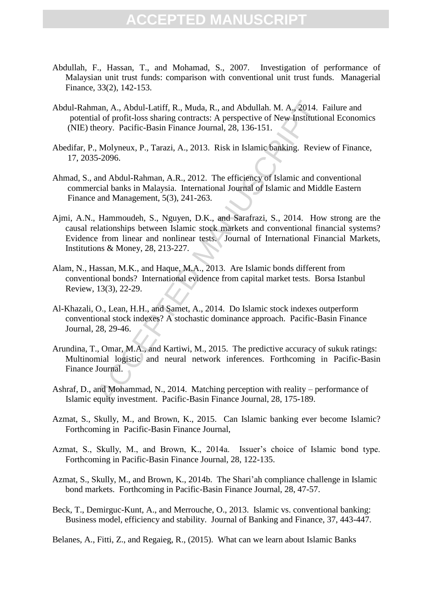- Abdullah, F., Hassan, T., and Mohamad, S., 2007. Investigation of performance of Malaysian unit trust funds: comparison with conventional unit trust funds. Managerial Finance, 33(2), 142-153.
- Abdul-Rahman, A., Abdul-Latiff, R., Muda, R., and Abdullah. M. A., 2014. Failure and potential of profit-loss sharing contracts: A perspective of New Institutional Economics (NIE) theory. Pacific-Basin Finance Journal, 28, 136-151.
- Abedifar, P., Molyneux, P., Tarazi, A., 2013. Risk in Islamic banking. Review of Finance, 17, 2035-2096.
- Ahmad, S., and Abdul-Rahman, A.R., 2012. The efficiency of Islamic and conventional commercial banks in Malaysia. International Journal of Islamic and Middle Eastern Finance and Management, 5(3), 241-263.
- nan, A., Abdul-Latiff, R., Muda, R., and Abdullah. M. A., 2014. I<br>al of profit-loss sharing contracts: A perspective of New Institutio<br>eory. Pacific-Basin Finance Journal, 28, 136-151.<br>Molyneux, P., Tarazi, A., 2013. Risk Ajmi, A.N., Hammoudeh, S., Nguyen, D.K., and Sarafrazi, S., 2014. How strong are the causal relationships between Islamic stock markets and conventional financial systems? Evidence from linear and nonlinear tests. Journal of International Financial Markets, Institutions & Money, 28, 213-227.
- Alam, N., Hassan, M.K., and Haque, M.A., 2013. Are Islamic bonds different from conventional bonds? International evidence from capital market tests. Borsa Istanbul Review, 13(3), 22-29.
- Al-Khazali, O., Lean, H.H., and Samet, A., 2014. Do Islamic stock indexes outperform conventional stock indexes? A stochastic dominance approach. Pacific-Basin Finance Journal, 28, 29-46.
- Arundina, T., Omar, M.A., and Kartiwi, M., 2015. The predictive accuracy of sukuk ratings: Multinomial logistic and neural network inferences. Forthcoming in Pacific-Basin Finance Journal.
- Ashraf, D., and Mohammad, N., 2014. Matching perception with reality performance of Islamic equity investment. Pacific-Basin Finance Journal, 28, 175-189.
- Azmat, S., Skully, M., and Brown, K., 2015. Can Islamic banking ever become Islamic? Forthcoming in Pacific-Basin Finance Journal,
- Azmat, S., Skully, M., and Brown, K., 2014a. Issuer's choice of Islamic bond type. Forthcoming in Pacific-Basin Finance Journal, 28, 122-135.
- Azmat, S., Skully, M., and Brown, K., 2014b. The Shari'ah compliance challenge in Islamic bond markets. Forthcoming in Pacific-Basin Finance Journal, 28, 47-57.
- Beck, T., Demirguc-Kunt, A., and Merrouche, O., 2013. Islamic vs. conventional banking: Business model, efficiency and stability. Journal of Banking and Finance, 37, 443-447.

Belanes, A., Fitti, Z., and Regaieg, R., (2015). What can we learn about Islamic Banks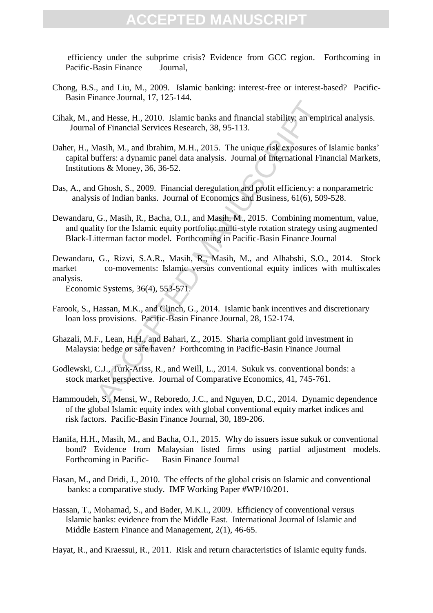efficiency under the subprime crisis? Evidence from GCC region. Forthcoming in Pacific-Basin Finance Journal,

- Chong, B.S., and Liu, M., 2009. Islamic banking: interest-free or interest-based? Pacific-Basin Finance Journal, 17, 125-144.
- Cihak, M., and Hesse, H., 2010. Islamic banks and financial stability: an empirical analysis. Journal of Financial Services Research, 38, 95-113.
- Daher, H., Masih, M., and Ibrahim, M.H., 2015. The unique risk exposures of Islamic banks' capital buffers: a dynamic panel data analysis. Journal of International Financial Markets, Institutions & Money, 36, 36-52.
- Das, A., and Ghosh, S., 2009. Financial deregulation and profit efficiency: a nonparametric analysis of Indian banks. Journal of Economics and Business, 61(6), 509-528.
- Dewandaru, G., Masih, R., Bacha, O.I., and Masih, M., 2015. Combining momentum, value, and quality for the Islamic equity portfolio: multi-style rotation strategy using augmented Black-Litterman factor model. Forthcoming in Pacific-Basin Finance Journal

mate Joanna, 17, 129 111.<br>
Ind Hesse, H., 2010. Islamic banks and financial stability: an emp<br>
of Financial Services Research, 38, 95-113.<br>
Aasih, M., and Ibrahim, M.H., 2015. The unique risk exposures of<br>
uffers: a dynami Dewandaru, G., Rizvi, S.A.R., Masih, R., Masih, M., and Alhabshi, S.O., 2014. Stock market co-movements: Islamic versus conventional equity indices with multiscales analysis.

Economic Systems, 36(4), 553-571.

- Farook, S., Hassan, M.K., and Clinch, G., 2014. Islamic bank incentives and discretionary loan loss provisions. Pacific-Basin Finance Journal, 28, 152-174.
- Ghazali, M.F., Lean, H.H., and Bahari, Z., 2015. Sharia compliant gold investment in Malaysia: hedge or safe haven? Forthcoming in Pacific-Basin Finance Journal
- Godlewski, C.J., Turk-Ariss, R., and Weill, L., 2014. Sukuk vs. conventional bonds: a stock market perspective. Journal of Comparative Economics, 41, 745-761.
- Hammoudeh, S., Mensi, W., Reboredo, J.C., and Nguyen, D.C., 2014. Dynamic dependence of the global Islamic equity index with global conventional equity market indices and risk factors. Pacific-Basin Finance Journal, 30, 189-206.
- Hanifa, H.H., Masih, M., and Bacha, O.I., 2015. Why do issuers issue sukuk or conventional bond? Evidence from Malaysian listed firms using partial adjustment models. Forthcoming in Pacific- Basin Finance Journal
- Hasan, M., and Dridi, J., 2010. The effects of the global crisis on Islamic and conventional banks: a comparative study. IMF Working Paper #WP/10/201.
- Hassan, T., Mohamad, S., and Bader, M.K.I., 2009. Efficiency of conventional versus Islamic banks: evidence from the Middle East. International Journal of Islamic and Middle Eastern Finance and Management, 2(1), 46-65.

Hayat, R., and Kraessui, R., 2011. Risk and return characteristics of Islamic equity funds.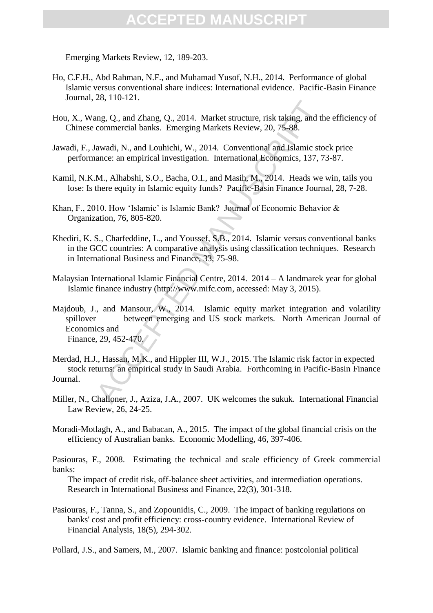Emerging Markets Review, 12, 189-203.

- Ho, C.F.H., Abd Rahman, N.F., and Muhamad Yusof, N.H., 2014. Performance of global Islamic versus conventional share indices: International evidence. Pacific-Basin Finance Journal, 28, 110-121.
- Hou, X., Wang, Q., and Zhang, Q., 2014. Market structure, risk taking, and the efficiency of Chinese commercial banks. Emerging Markets Review, 20, 75-88.
- Jawadi, F., Jawadi, N., and Louhichi, W., 2014. Conventional and Islamic stock price performance: an empirical investigation. International Economics, 137, 73-87.
- Kamil, N.K.M., Alhabshi, S.O., Bacha, O.I., and Masih, M., 2014. Heads we win, tails you lose: Is there equity in Islamic equity funds? Pacific-Basin Finance Journal, 28, 7-28.
- Khan, F., 2010. How 'Islamic' is Islamic Bank? Journal of Economic Behavior  $\&$ Organization, 76, 805-820.
- Khediri, K. S., Charfeddine, L., and Youssef, S.B., 2014. Islamic versus conventional banks in the GCC countries: A comparative analysis using classification techniques. Research in International Business and Finance, 33, 75-98.
- Malaysian International Islamic Financial Centre, 2014. 2014 A landmarek year for global Islamic finance industry (http://www.mifc.com, accessed: May 3, 2015).
- 20, 110 1211.<br>
ang, Q., and Zhang, Q., 2014. Market structure, risk taking, and the commercial banks. Emerging Markets Review, 20, 75-88.<br>
fawadi, N., and Louhichi, W., 2014. Conventional and Islamic sto<br>
ance: an empirica Majdoub, J., and Mansour, W., 2014. Islamic equity market integration and volatility spillover between emerging and US stock markets. North American Journal of Economics and Finance, 29, 452-470.
- Merdad, H.J., Hassan, M.K., and Hippler III, W.J., 2015. The Islamic risk factor in expected stock returns: an empirical study in Saudi Arabia. Forthcoming in Pacific-Basin Finance Journal.
- Miller, N., Challoner, J., Aziza, J.A., 2007. UK welcomes the sukuk. International Financial Law Review, 26, 24-25.
- Moradi-Motlagh, A., and Babacan, A., 2015. The impact of the global financial crisis on the efficiency of Australian banks. Economic Modelling, 46, 397-406.
- Pasiouras, F., 2008. Estimating the technical and scale efficiency of Greek commercial banks:

 The impact of credit risk, off-balance sheet activities, and intermediation operations. Research in International Business and Finance, 22(3), 301-318.

Pasiouras, F., Tanna, S., and Zopounidis, C., 2009. The impact of banking regulations on banks' cost and profit efficiency: cross-country evidence. International Review of Financial Analysis, 18(5), 294-302.

Pollard, J.S., and Samers, M., 2007. Islamic banking and finance: postcolonial political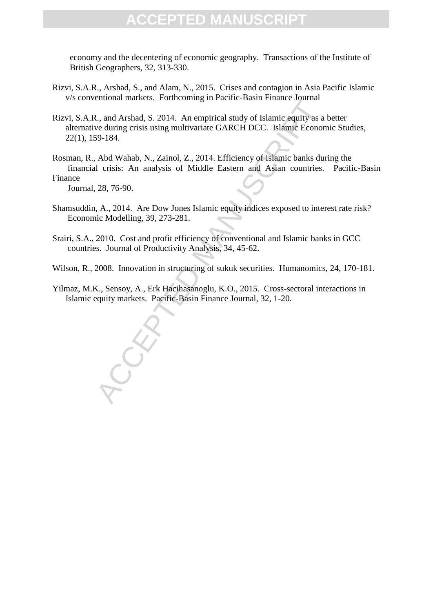economy and the decentering of economic geography. Transactions of the Institute of British Geographers, 32, 313-330.

- Rizvi, S.A.R., Arshad, S., and Alam, N., 2015. Crises and contagion in Asia Pacific Islamic v/s conventional markets. Forthcoming in Pacific-Basin Finance Journal
- 2.1. and Arshad, S. 2014. An empirical study of Islamic evaluations we during mixture Example Deal in Transle evaluation.<br>
2., and Arshad, S. 2014. An empirical study of Islamic equity as a set during crisis using multivar Rizvi, S.A.R., and Arshad, S. 2014. An empirical study of Islamic equity as a better alternative during crisis using multivariate GARCH DCC. Islamic Economic Studies, 22(1), 159-184.
- Rosman, R., Abd Wahab, N., Zainol, Z., 2014. Efficiency of Islamic banks during the financial crisis: An analysis of Middle Eastern and Asian countries. Pacific-Basin Finance

Journal, 28, 76-90.

- Shamsuddin, A., 2014. Are Dow Jones Islamic equity indices exposed to interest rate risk? Economic Modelling, 39, 273-281.
- Srairi, S.A., 2010. Cost and profit efficiency of conventional and Islamic banks in GCC countries. Journal of Productivity Analysis, 34, 45-62.

Wilson, R., 2008. Innovation in structuring of sukuk securities. Humanomics, 24, 170-181.

Yilmaz, M.K., Sensoy, A., Erk Hacihasanoglu, K.O., 2015. Cross-sectoral interactions in Islamic equity markets. Pacific-Basin Finance Journal, 32, 1-20.